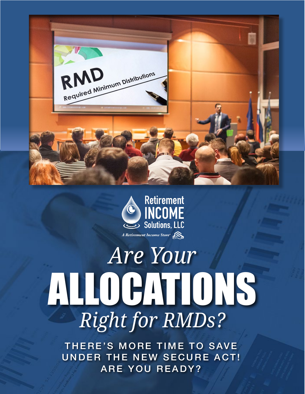



# *Are Your* ALLOCATIONS *Right for RMDs?*

THERE'S MORE TIME TO SAVE UNDER THE NEW SECURE ACT! ARE YOU READY?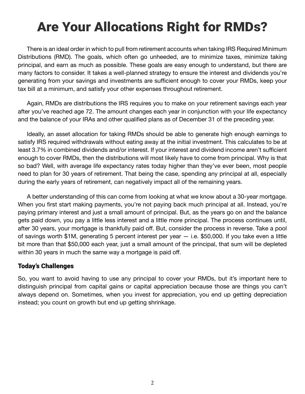### Are Your Allocations Right for RMDs?

There is an ideal order in which to pull from retirement accounts when taking IRS Required Minimum Distributions (RMD). The goals, which often go unheeded, are to minimize taxes, minimize taking principal, and earn as much as possible. These goals are easy enough to understand, but there are many factors to consider. It takes a well-planned strategy to ensure the interest and dividends you're generating from your savings and investments are sufficient enough to cover your RMDs, keep your tax bill at a minimum, and satisfy your other expenses throughout retirement.

Again, RMDs are distributions the IRS requires you to make on your retirement savings each year after you've reached age 72. The amount changes each year in conjunction with your life expectancy and the balance of your IRAs and other qualified plans as of December 31 of the preceding year.

Ideally, an asset allocation for taking RMDs should be able to generate high enough earnings to satisfy IRS required withdrawals without eating away at the initial investment. This calculates to be at least 3.7% in combined dividends and/or interest. If your interest and dividend income aren't sufficient enough to cover RMDs, then the distributions will most likely have to come from principal. Why is that so bad? Well, with average life expectancy rates today higher than they've ever been, most people need to plan for 30 years of retirement. That being the case, spending any principal at all, especially during the early years of retirement, can negatively impact all of the remaining years.

A better understanding of this can come from looking at what we know about a 30-year mortgage. When you first start making payments, you're not paying back much principal at all. Instead, you're paying primary interest and just a small amount of principal. But, as the years go on and the balance gets paid down, you pay a little less interest and a little more principal. The process continues until, after 30 years, your mortgage is thankfully paid off. But, consider the process in reverse. Take a pool of savings worth \$1M, generating 5 percent interest per year — i.e. \$50,000. If you take even a little bit more than that \$50,000 each year, just a small amount of the principal, that sum will be depleted within 30 years in much the same way a mortgage is paid off.

#### Today's Challenges

So, you want to avoid having to use any principal to cover your RMDs, but it's important here to distinguish principal from capital gains or capital appreciation because those are things you can't always depend on. Sometimes, when you invest for appreciation, you end up getting depreciation instead; you count on growth but end up getting shrinkage.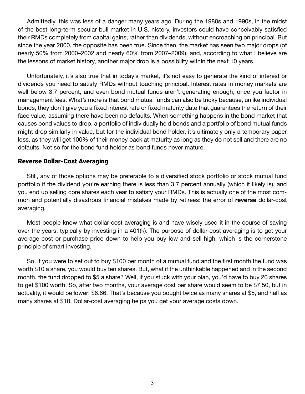Admittedly, this was less of a danger many years ago. During the 1980s and 1990s, in the midst of the best long-term secular bull market in U.S. history, investors could have conceivably satisfied their RMDs completely from capital gains, rather than dividends, without encroaching on principal. But since the year 2000, the opposite has been true. Since then, the market has seen two major drops (of nearly 50% from 2000–2002 and nearly 60% from 2007–2009), and, according to what I believe are the lessons of market history, another major drop is a possibility within the next 10 years.

Unfortunately, it's also true that in today's market, it's not easy to generate the kind of interest or dividends you need to satisfy RMDs without touching principal. Interest rates in money markets are well below 3.7 percent, and even bond mutual funds aren't generating enough, once you factor in management fees. What's more is that bond mutual funds can also be tricky because, unlike individual bonds, they don't give you a fixed interest rate or fixed maturity date that guarantees the return of their face value, assuming there have been no defaults. When something happens in the bond market that causes bond values to drop, a portfolio of individually held bonds and a portfolio of bond mutual funds might drop similarly in value, but for the individual bond holder, it's ultimately only a temporary paper loss, as they will get 100% of their money back at maturity as long as they do not sell and there are no defaults. Not so for the bond fund holder as bond funds never mature.

#### Reverse Dollar-Cost Averaging

Still, any of those options may be preferable to a diversified stock portfolio or stock mutual fund portfolio if the dividend you're earning there is less than 3.7 percent annually (which it likely is), and you end up selling core shares each year to satisfy your RMDs. This is actually one of the most common and potentially disastrous financial mistakes made by retirees: the error of **reverse** dollar-cost averaging.

Most people know what dollar-cost averaging is and have wisely used it in the course of saving over the years, typically by investing in a 401(k). The purpose of dollar-cost averaging is to get your average cost or purchase price down to help you buy low and sell high, which is the cornerstone principle of smart investing.

So, if you were to set out to buy \$100 per month of a mutual fund and the first month the fund was worth \$10 a share, you would buy ten shares. But, what if the unthinkable happened and in the second month, the fund dropped to \$5 a share? Well, if you stuck with your plan, you'd have to buy 20 shares to get \$100 worth. So, after two months, your average cost per share would seem to be \$7.50, but in actuality, it would be lower: \$6.66. That's because you bought twice as many shares at \$5, and half as many shares at \$10. Dollar-cost averaging helps you get your average costs down.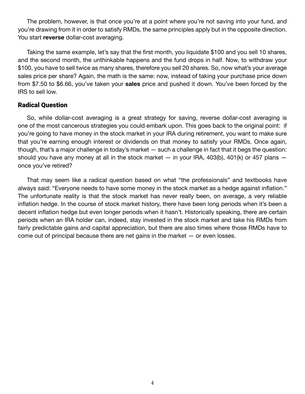The problem, however, is that once you're at a point where you're not saving into your fund, and you're drawing from it in order to satisfy RMDs, the same principles apply but in the opposite direction. You start **reverse** dollar-cost averaging.

Taking the same example, let's say that the first month, you liquidate \$100 and you sell 10 shares, and the second month, the unthinkable happens and the fund drops in half. Now, to withdraw your \$100, you have to sell twice as many shares, therefore you sell 20 shares. So, now what's your average sales price per share? Again, the math is the same: now, instead of taking your purchase price down from \$7.50 to \$6.66, you've taken your **sales** price and pushed it down. You've been forced by the IRS to sell low.

#### Radical Question

So, while dollar-cost averaging is a great strategy for saving, reverse dollar-cost averaging is one of the most cancerous strategies you could embark upon. This goes back to the original point: if you're going to have money in the stock market in your IRA during retirement, you want to make sure that you're earning enough interest or dividends on that money to satisfy your RMDs. Once again, though, that's a major challenge in today's market — such a challenge in fact that it begs the question: should you have any money at all in the stock market  $-$  in your IRA, 403(b), 401(k) or 457 plans  $$ once you've retired?

That may seem like a radical question based on what "the professionals" and textbooks have always said: "Everyone needs to have some money in the stock market as a hedge against inflation." The unfortunate reality is that the stock market has never really been, on average, a very reliable inflation hedge. In the course of stock market history, there have been long periods when it's been a decent inflation hedge but even longer periods when it hasn't. Historically speaking, there are certain periods when an IRA holder can, indeed, stay invested in the stock market and take his RMDs from fairly predictable gains and capital appreciation, but there are also times where those RMDs have to come out of principal because there are net gains in the market — or even losses.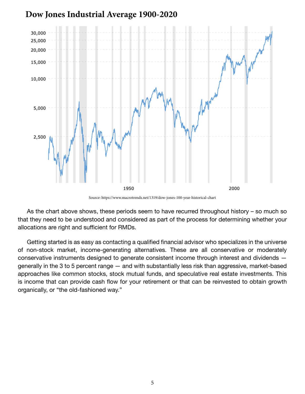



Source: https://www.macrotrends.net/1319/dow-jones-100-year-historical-chart

As the chart above shows, these periods seem to have recurred throughout history – so much so that they need to be understood and considered as part of the process for determining whether your allocations are right and sufficient for RMDs.

Getting started is as easy as contacting a qualified financial advisor who specializes in the universe of non-stock market, income-generating alternatives. These are all conservative or moderately conservative instruments designed to generate consistent income through interest and dividends generally in the 3 to 5 percent range — and with substantially less risk than aggressive, market-based approaches like common stocks, stock mutual funds, and speculative real estate investments. This is income that can provide cash flow for your retirement or that can be reinvested to obtain growth organically, or "the old-fashioned way."